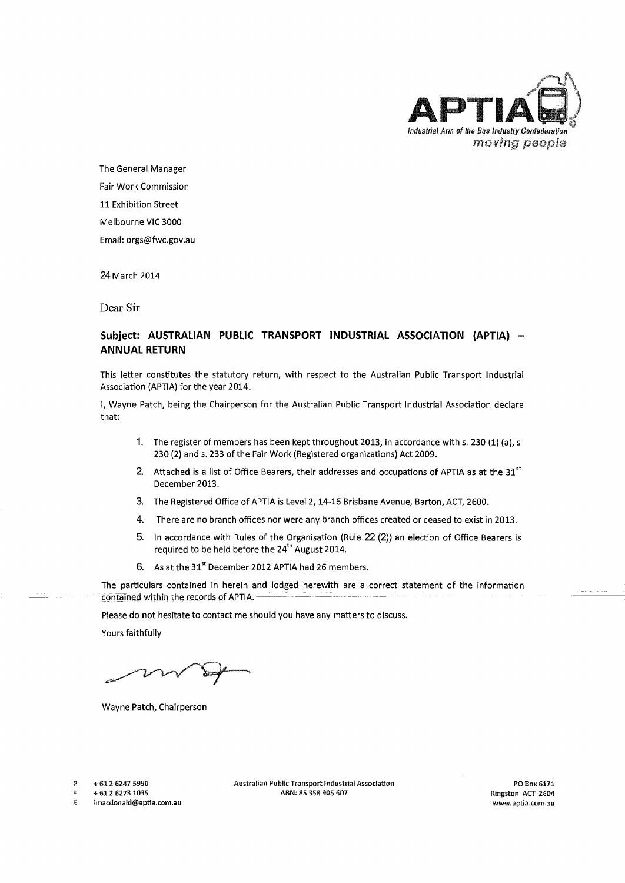

The General Manager Fair Work Commission 11 Exhibition Street Melbourne VIC 3000 Email: orgs@fwc.gov.au

24 March 2014

Dear Sir

## Subject: AUSTRALIAN PUBLIC TRANSPORT INDUSTRIAL ASSOCIATION (APTIA) -**ANNUAL RETURN**

This letter constitutes the statutory return, with respect to the Australian Public Transport Industrial Association (APTIA) for the year 2014.

I, Wayne Patch, being the Chairperson for the Australian Public Transport Industrial Association declare that:

- 1. The register of members has been kept throughout 2013, in accordance with s. 230 (1) (a), s 230 (2) and s. 233 of the Fair Work (Registered organizations) Act 2009.
- 2. Attached is a list of Office Bearers, their addresses and occupations of APTIA as at the 31<sup>st</sup> December 2013.
- 3. The Registered Office of APTIA is Level 2, 14-16 Brisbane Avenue, Barton, ACT, 2600.
- 4. There are no branch offices nor were any branch offices created or ceased to exist in 2013.
- 5. In accordance with Rules of the Organisation (Rule 22 (2)) an election of Office Bearers is required to be held before the 24<sup>th</sup> August 2014.
- 6. As at the 31<sup>st</sup> December 2012 APTIA had 26 members.

The particulars contained in herein and lodged herewith are a correct statement of the information -contained within the records of APTIA.

Please do not hesitate to contact me should you have any matters to discuss.

Yours faithfully

Wayne Patch, Chairperson

p + 61 2 6247 5990

+ 61 2 6273 1035

E imacdonald@aptia.com.au Australian Public Transport Industrial Association ABN: 85 358 905 607

POBoK6171 Kingston ACT 2604 W\'1/\v,aptia.com.au